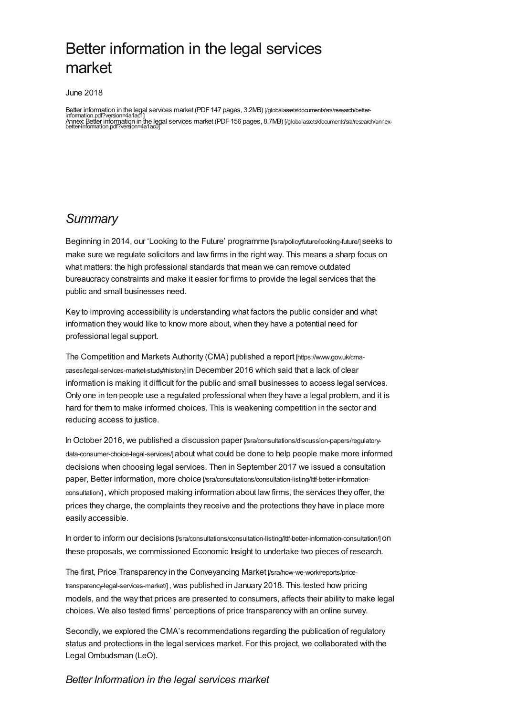# Better information in the legal services market

June 2018

Better information in the legal services market (PDF 147 pages, 3.2MB) [/globalassets/documents/sra/research/better-<br>information.pdf?version=4a1ac1] information.pdf?version=4a1ac1] Annex: Better information in the legal services market (PDF156 pages, 8.7MB) [\[/globalassets/documents/sra/research/annex-](https://www.sra.org.uk/globalassets/documents/sra/research/annex-better-information.pdf?version=4a1ac0)better-information.pdf?version=4a1ac0]

## *Summary*

Beginning in 2014, our 'Looking to the Future' programme [\[/sra/policy/future/looking-future/\]](https://www.sra.org.uk/sra/policy/future/looking-future/) seeks to make sure we regulate solicitors and law firms in the right way. This means a sharp focus on what matters: the high professional standards that mean we can remove outdated bureaucracy constraints and make it easier for firms to provide the legal services that the public and small businesses need.

Key to improving accessibility is understanding what factors the public consider and what information they would like to know more about, when they have a potential need for professional legal support.

The Competition and Markets Authority (CMA) published a report [https://www.gov.uk/cma[cases/legal-services-market-study#history\]](https://www.gov.uk/cma-cases/legal-services-market-study#history) in December 2016 which said that a lack of clear information is making it difficult for the public and small businesses to access legal services. Only one in ten people use a regulated professional when they have a legal problem, and it is hard for them to make informed choices. This is weakening competition in the sector and reducing access to justice.

In October 2016, we published a discussion paper [\[/sra/consultations/discussion-papers/regulatory](https://www.sra.org.uk/sra/consultations/discussion-papers/regulatory-data-consumer-choice-legal-services/)data-consumer-choice-legal-services/] about what could be done to help people make more informed decisions when choosing legal services. Then in September 2017 we issued a consultation paper, Better information, more choice [\[/sra/consultations/consultation-listing/lttf-better-information](https://www.sra.org.uk/sra/consultations/consultation-listing/lttf-better-information-consultation/)consultation/] , which proposed making information about law firms, the services they offer, the prices they charge, the complaints they receive and the protections they have in place more easily accessible.

In order to inform our decisions [\[/sra/consultations/consultation-listing/lttf-better-information-consultation/\]](https://www.sra.org.uk/sra/consultations/consultation-listing/lttf-better-information-consultation/) on these proposals, we commissioned Economic Insight to undertake two pieces of research.

The first, Price Transparency in the Conveyancing Market [/sra/how-we-work/reports/price[transparency-legal-services-market/\]](https://www.sra.org.uk/sra/how-we-work/reports/price-transparency-legal-services-market/) , was published in January 2018. This tested how pricing models, and the way that prices are presented to consumers, affects their ability to make legal choices. We also tested firms' perceptions of price transparency with an online survey.

Secondly, we explored the CMA's recommendations regarding the publication of regulatory status and protections in the legal services market. For this project, we collaborated with the Legal Ombudsman (LeO).

#### *Better Information in the legal services market*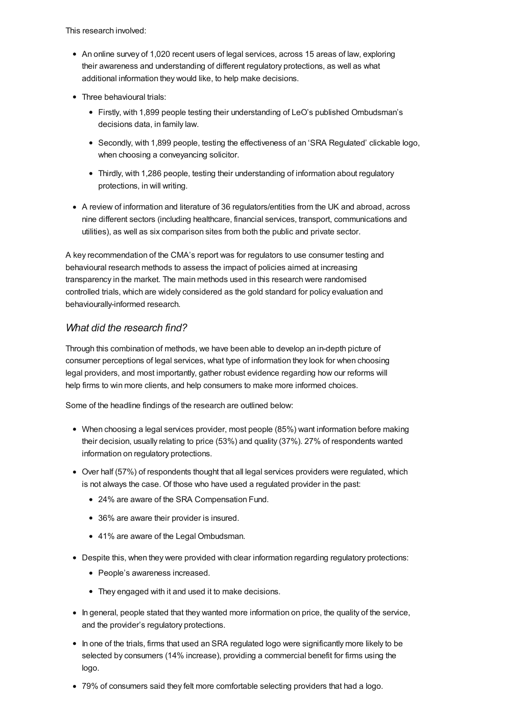This research involved:

- An online survey of 1,020 recent users of legal services, across 15 areas of law, exploring their awareness and understanding of different regulatory protections, as well as what additional information they would like, to help make decisions.
- Three behavioural trials:
	- Firstly, with 1,899 people testing their understanding of LeO's published Ombudsman's decisions data, in family law.
	- Secondly, with 1,899 people, testing the effectiveness of an 'SRA Regulated' clickable logo, when choosing a conveyancing solicitor.
	- Thirdly, with 1,286 people, testing their understanding of information about regulatory protections, in will writing.
- A review of information and literature of 36 regulators/entities from the UK and abroad, across nine different sectors (including healthcare, financial services, transport, communications and utilities), as well as six comparison sites from both the public and private sector.

A key recommendation of the CMA's report was for regulators to use consumer testing and behavioural research methods to assess the impact of policies aimed at increasing transparency in the market. The main methods used in this research were randomised controlled trials, which are widely considered as the gold standard for policy evaluation and behaviourally-informed research.

### *What did the research find?*

Through this combination of methods, we have been able to develop an in-depth picture of consumer perceptions of legal services, what type of information they look for when choosing legal providers, and most importantly, gather robust evidence regarding how our reforms will help firms to win more clients, and help consumers to make more informed choices.

Some of the headline findings of the research are outlined below:

- When choosing a legal services provider, most people (85%) want information before making their decision, usually relating to price (53%) and quality (37%). 27% of respondents wanted information on regulatory protections.
- Over half (57%) of respondents thought that all legal services providers were regulated, which is not always the case. Of those who have used a regulated provider in the past:
	- 24% are aware of the SRA Compensation Fund.
	- 36% are aware their provider is insured.
	- 41% are aware of the Legal Ombudsman.
- Despite this, when they were provided with clear information regarding regulatory protections:
	- People's awareness increased.
	- They engaged with it and used it to make decisions.
- In general, people stated that they wanted more information on price, the quality of the service, and the provider's regulatory protections.
- In one of the trials, firms that used an SRA regulated logo were significantly more likely to be selected by consumers (14% increase), providing a commercial benefit for firms using the logo.
- 79% of consumers said they felt more comfortable selecting providers that had a logo.